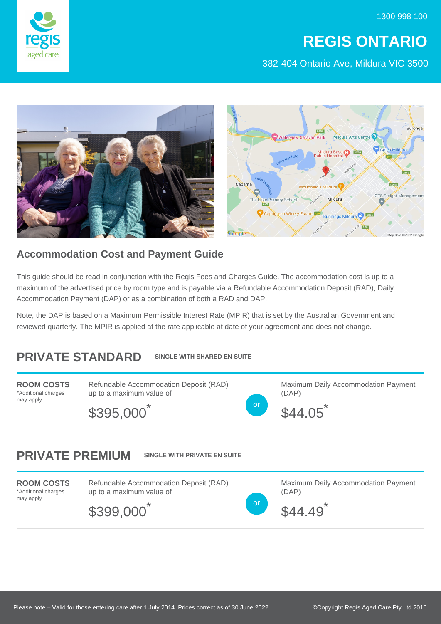1300 998 100

## **REGIS ONTARIO**

382-404 Ontario Ave, Mildura VIC 3500





## **Accommodation Cost and Payment Guide**

This guide should be read in conjunction with the Regis Fees and Charges Guide. The accommodation cost is up to a maximum of the advertised price by room type and is payable via a Refundable Accommodation Deposit (RAD), Daily Accommodation Payment (DAP) or as a combination of both a RAD and DAP.

Note, the DAP is based on a Maximum Permissible Interest Rate (MPIR) that is set by the Australian Government and reviewed quarterly. The MPIR is applied at the rate applicable at date of your agreement and does not change.

## **PRIVATE STANDARD SINGLE WITH SHARED EN SUITE**